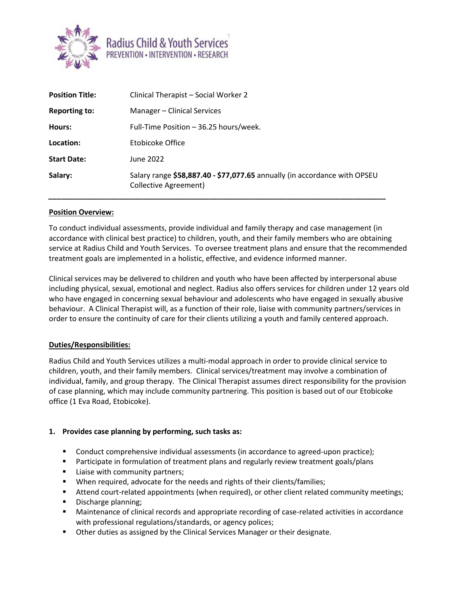

| <b>Position Title:</b> | Clinical Therapist - Social Worker 2                                                               |
|------------------------|----------------------------------------------------------------------------------------------------|
| <b>Reporting to:</b>   | Manager - Clinical Services                                                                        |
| Hours:                 | Full-Time Position – 36.25 hours/week.                                                             |
| Location:              | Etobicoke Office                                                                                   |
| <b>Start Date:</b>     | June 2022                                                                                          |
| Salary:                | Salary range \$58,887.40 - \$77,077.65 annually (in accordance with OPSEU<br>Collective Agreement) |

## **Position Overview:**

To conduct individual assessments, provide individual and family therapy and case management (in accordance with clinical best practice) to children, youth, and their family members who are obtaining service at Radius Child and Youth Services. To oversee treatment plans and ensure that the recommended treatment goals are implemented in a holistic, effective, and evidence informed manner.

Clinical services may be delivered to children and youth who have been affected by interpersonal abuse including physical, sexual, emotional and neglect. Radius also offers services for children under 12 years old who have engaged in concerning sexual behaviour and adolescents who have engaged in sexually abusive behaviour. A Clinical Therapist will, as a function of their role, liaise with community partners/services in order to ensure the continuity of care for their clients utilizing a youth and family centered approach.

#### **Duties/Responsibilities:**

Radius Child and Youth Services utilizes a multi-modal approach in order to provide clinical service to children, youth, and their family members. Clinical services/treatment may involve a combination of individual, family, and group therapy. The Clinical Therapist assumes direct responsibility for the provision of case planning, which may include community partnering. This position is based out of our Etobicoke office (1 Eva Road, Etobicoke).

#### **1. Provides case planning by performing, such tasks as:**

- **Conduct comprehensive individual assessments (in accordance to agreed-upon practice);**
- Participate in formulation of treatment plans and regularly review treatment goals/plans
- Liaise with community partners;
- When required, advocate for the needs and rights of their clients/families;
- Attend court-related appointments (when required), or other client related community meetings;
- Discharge planning;
- Maintenance of clinical records and appropriate recording of case-related activities in accordance with professional regulations/standards, or agency polices;
- **Other duties as assigned by the Clinical Services Manager or their designate.**